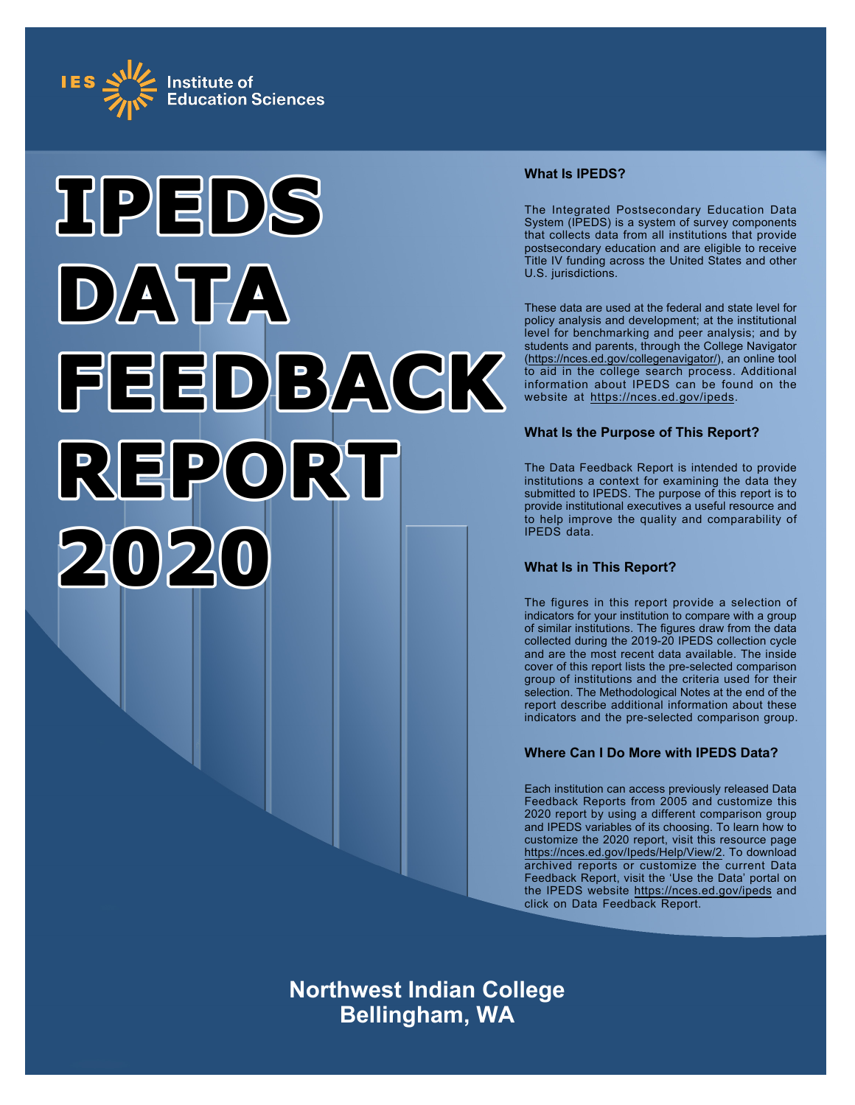



# **What Is IPEDS?**

The Integrated Postsecondary Education Data System (IPEDS) is a system of survey components that collects data from all institutions that provide postsecondary education and are eligible to receive Title IV funding across the United States and other U.S. jurisdictions.

These data are used at the federal and state level for policy analysis and development; at the institutional level for benchmarking and peer analysis; and by students and parents, through the College Navigator ([https://nces.ed.gov/collegenavigator/\)](https://nces.ed.gov/collegenavigator/), an online tool to aid in the college search process. Additional information about IPEDS can be found on the website at<https://nces.ed.gov/ipeds>.

# **What Is the Purpose of This Report?**

The Data Feedback Report is intended to provide institutions a context for examining the data they submitted to IPEDS. The purpose of this report is to provide institutional executives a useful resource and to help improve the quality and comparability of IPEDS data.

# **What Is in This Report?**

The figures in this report provide a selection of indicators for your institution to compare with a group of similar institutions. The figures draw from the data collected during the 2019-20 IPEDS collection cycle and are the most recent data available. The inside cover of this report lists the pre-selected comparison group of institutions and the criteria used for their selection. The Methodological Notes at the end of the report describe additional information about these indicators and the pre-selected comparison group.

# **Where Can I Do More with IPEDS Data?**

Each institution can access previously released Data Feedback Reports from 2005 and customize this 2020 report by using a different comparison group and IPEDS variables of its choosing. To learn how to customize the 2020 report, visit this resource page <https://nces.ed.gov/Ipeds/Help/View/2>. To download archived reports or customize the current Data Feedback Report, visit the 'Use the Data' portal on the IPEDS website<https://nces.ed.gov/ipeds> and click on Data Feedback Report.

**Northwest Indian College Bellingham, WA**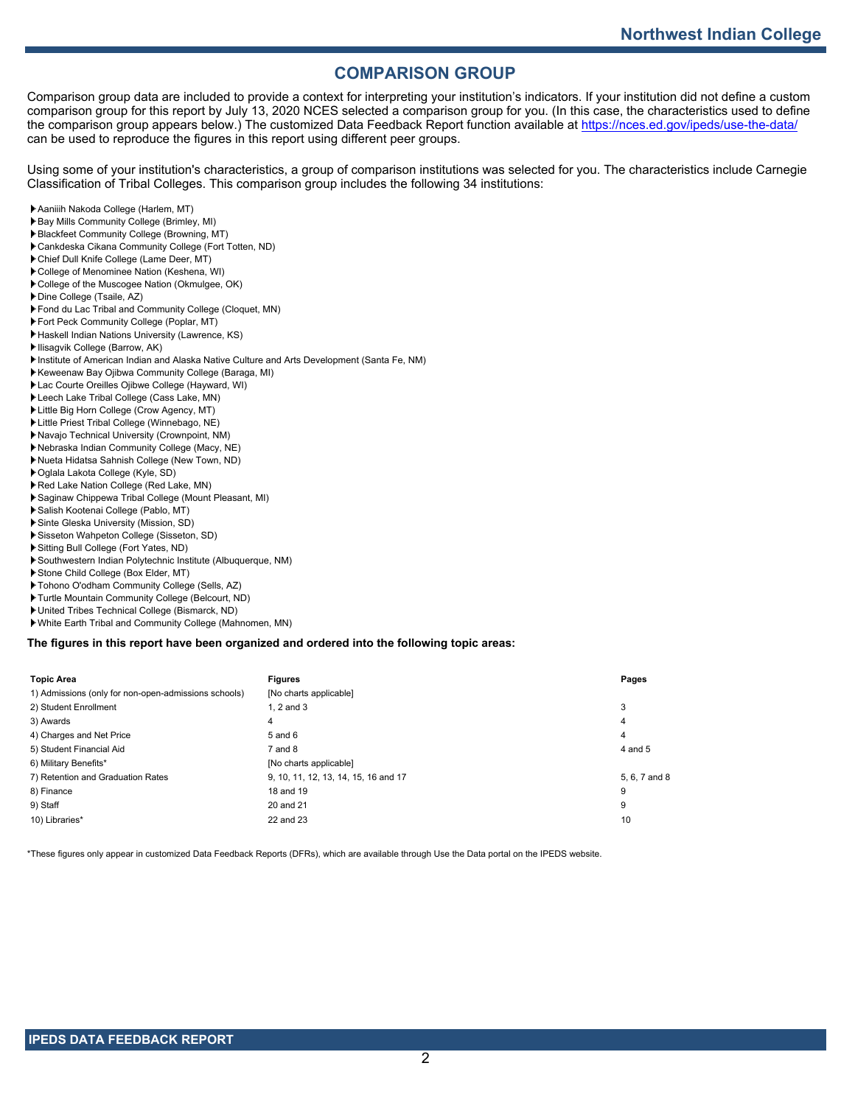# **COMPARISON GROUP**

Comparison group data are included to provide a context for interpreting your institution's indicators. If your institution did not define a custom comparison group for this report by July 13, 2020 NCES selected a comparison group for you. (In this case, the characteristics used to define the comparison group appears below.) The customized Data Feedback Report function available at<https://nces.ed.gov/ipeds/use-the-data/> can be used to reproduce the figures in this report using different peer groups.

Using some of your institution's characteristics, a group of comparison institutions was selected for you. The characteristics include Carnegie Classification of Tribal Colleges. This comparison group includes the following 34 institutions:

- Aaniiih Nakoda College (Harlem, MT)
- Bay Mills Community College (Brimley, MI)
- Blackfeet Community College (Browning, MT)
- Cankdeska Cikana Community College (Fort Totten, ND)
- Chief Dull Knife College (Lame Deer, MT)
- College of Menominee Nation (Keshena, WI)
- College of the Muscogee Nation (Okmulgee, OK)
- Dine College (Tsaile, AZ)
- Fond du Lac Tribal and Community College (Cloquet, MN)
- Fort Peck Community College (Poplar, MT)
- Haskell Indian Nations University (Lawrence, KS)
- Ilisagvik College (Barrow, AK)
- Institute of American Indian and Alaska Native Culture and Arts Development (Santa Fe, NM)
- Keweenaw Bay Ojibwa Community College (Baraga, MI)
- Lac Courte Oreilles Ojibwe College (Hayward, WI)
- Leech Lake Tribal College (Cass Lake, MN)
- Little Big Horn College (Crow Agency, MT)
- Little Priest Tribal College (Winnebago, NE)
- Navajo Technical University (Crownpoint, NM)
- Nebraska Indian Community College (Macy, NE) Nueta Hidatsa Sahnish College (New Town, ND)
- Oglala Lakota College (Kyle, SD)
- 
- Red Lake Nation College (Red Lake, MN)
- Saginaw Chippewa Tribal College (Mount Pleasant, MI)
- Salish Kootenai College (Pablo, MT) Sinte Gleska University (Mission, SD)
- Sisseton Wahpeton College (Sisseton, SD)
- Sitting Bull College (Fort Yates, ND)
- Southwestern Indian Polytechnic Institute (Albuquerque, NM)
- Stone Child College (Box Elder, MT)
- Tohono O'odham Community College (Sells, AZ)
- Turtle Mountain Community College (Belcourt, ND)
- United Tribes Technical College (Bismarck, ND)
- White Earth Tribal and Community College (Mahnomen, MN)

**The figures in this report have been organized and ordered into the following topic areas:**

| <b>Topic Area</b>                                    | <b>Figures</b>                       | Pages         |
|------------------------------------------------------|--------------------------------------|---------------|
| 1) Admissions (only for non-open-admissions schools) | [No charts applicable]               |               |
| 2) Student Enrollment                                | 1. $2$ and $3$                       | 3             |
| 3) Awards                                            | 4                                    | 4             |
| 4) Charges and Net Price                             | $5$ and $6$                          | 4             |
| 5) Student Financial Aid                             | $7$ and $8$                          | 4 and 5       |
| 6) Military Benefits*                                | [No charts applicable]               |               |
| 7) Retention and Graduation Rates                    | 9, 10, 11, 12, 13, 14, 15, 16 and 17 | 5, 6, 7 and 8 |
| 8) Finance                                           | 18 and 19                            | 9             |
| 9) Staff                                             | 20 and 21                            | 9             |
| 10) Libraries*                                       | 22 and 23                            | 10            |

\*These figures only appear in customized Data Feedback Reports (DFRs), which are available through Use the Data portal on the IPEDS website.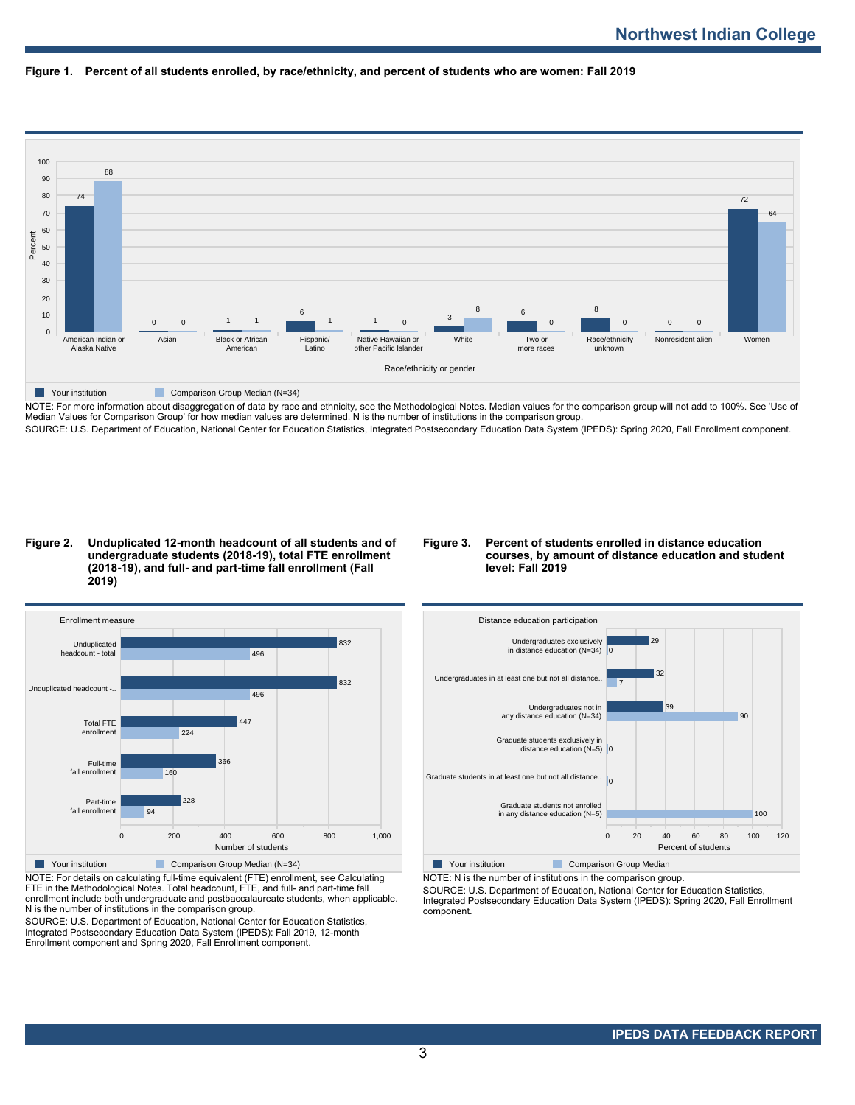



NOTE: For more information about disaggregation of data by race and ethnicity, see the Methodological Notes. Median values for the comparison group will not add to 100%. See 'Use of Median Values for Comparison Group' for how median values are determined. N is the number of institutions in the comparison group. SOURCE: U.S. Department of Education, National Center for Education Statistics, Integrated Postsecondary Education Data System (IPEDS): Spring 2020, Fall Enrollment component.

#### **Figure 2. Unduplicated 12-month headcount of all students and of undergraduate students (2018-19), total FTE enrollment (2018-19), and full- and part-time fall enrollment (Fall 2019)**

## **Figure 3. Percent of students enrolled in distance education courses, by amount of distance education and student level: Fall 2019**



NOTE: For details on calculating full-time equivalent (FTE) enrollment, see Calculating FTE in the Methodological Notes. Total headcount, FTE, and full- and part-time fall enrollment include both undergraduate and postbaccalaureate students, when applicable. N is the number of institutions in the comparison group.

SOURCE: U.S. Department of Education, National Center for Education Statistics, Integrated Postsecondary Education Data System (IPEDS): Fall 2019, 12-month Enrollment component and Spring 2020, Fall Enrollment component.



NOTE: N is the number of institutions in the comparison group.

SOURCE: U.S. Department of Education, National Center for Education Statistics,

Integrated Postsecondary Education Data System (IPEDS): Spring 2020, Fall Enrollment component.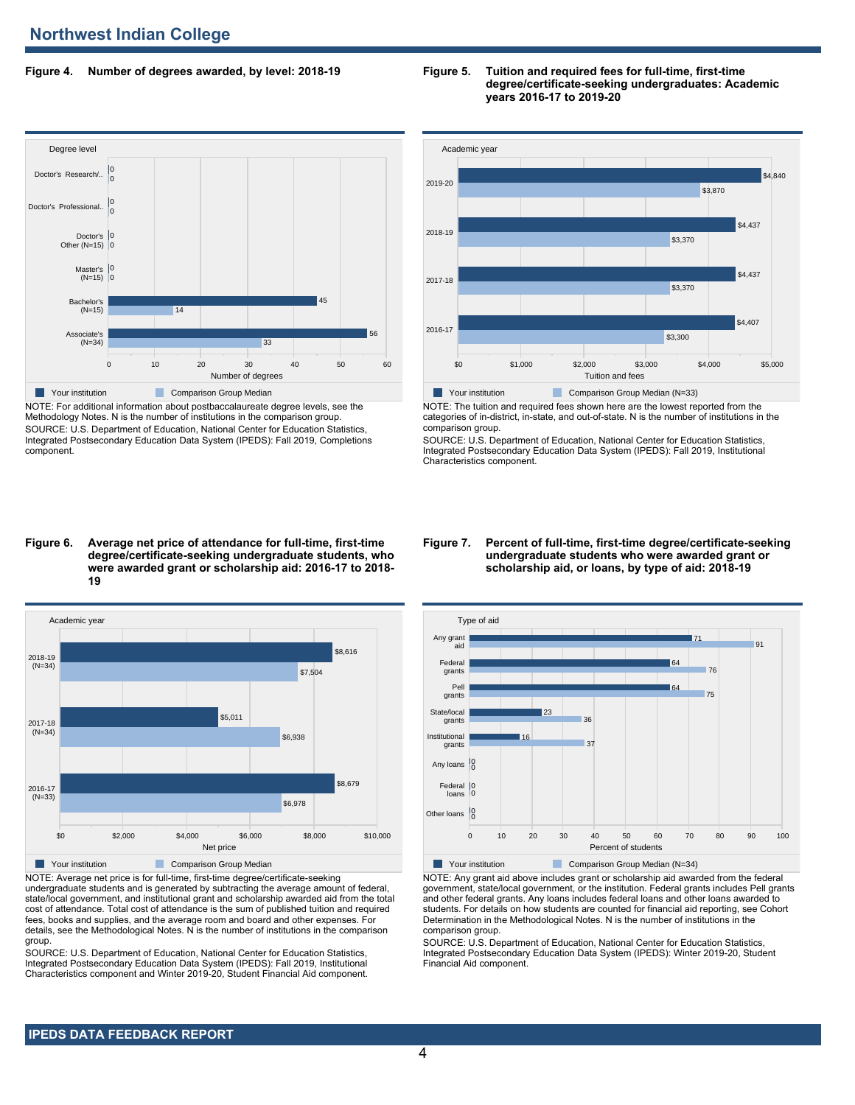## **Figure 4. Number of degrees awarded, by level: 2018-19**



NOTE: For additional information about postbaccalaureate degree levels, see the Methodology Notes. N is the number of institutions in the comparison group. SOURCE: U.S. Department of Education, National Center for Education Statistics, Integrated Postsecondary Education Data System (IPEDS): Fall 2019, Completions component.

#### **Figure 6. Average net price of attendance for full-time, first-time degree/certificate-seeking undergraduate students, who were awarded grant or scholarship aid: 2016-17 to 2018- 19**



NOTE: Average net price is for full-time, first-time degree/certificate-seeking undergraduate students and is generated by subtracting the average amount of federal, state/local government, and institutional grant and scholarship awarded aid from the total cost of attendance. Total cost of attendance is the sum of published tuition and required fees, books and supplies, and the average room and board and other expenses. For details, see the Methodological Notes. N is the number of institutions in the comparison group.

SOURCE: U.S. Department of Education, National Center for Education Statistics, Integrated Postsecondary Education Data System (IPEDS): Fall 2019, Institutional Characteristics component and Winter 2019-20, Student Financial Aid component.

#### **Figure 5. Tuition and required fees for full-time, first-time degree/certificate-seeking undergraduates: Academic years 2016-17 to 2019-20**



NOTE: The tuition and required fees shown here are the lowest reported from the categories of in-district, in-state, and out-of-state. N is the number of institutions in the comparison group.

SOURCE: U.S. Department of Education, National Center for Education Statistics, Integrated Postsecondary Education Data System (IPEDS): Fall 2019, Institutional Characteristics component.

#### **Figure 7. Percent of full-time, first-time degree/certificate-seeking undergraduate students who were awarded grant or scholarship aid, or loans, by type of aid: 2018-19**



NOTE: Any grant aid above includes grant or scholarship aid awarded from the federal government, state/local government, or the institution. Federal grants includes Pell grants and other federal grants. Any loans includes federal loans and other loans awarded to students. For details on how students are counted for financial aid reporting, see Cohort Determination in the Methodological Notes. N is the number of institutions in the comparison group.

SOURCE: U.S. Department of Education, National Center for Education Statistics, Integrated Postsecondary Education Data System (IPEDS): Winter 2019-20, Student Financial Aid component.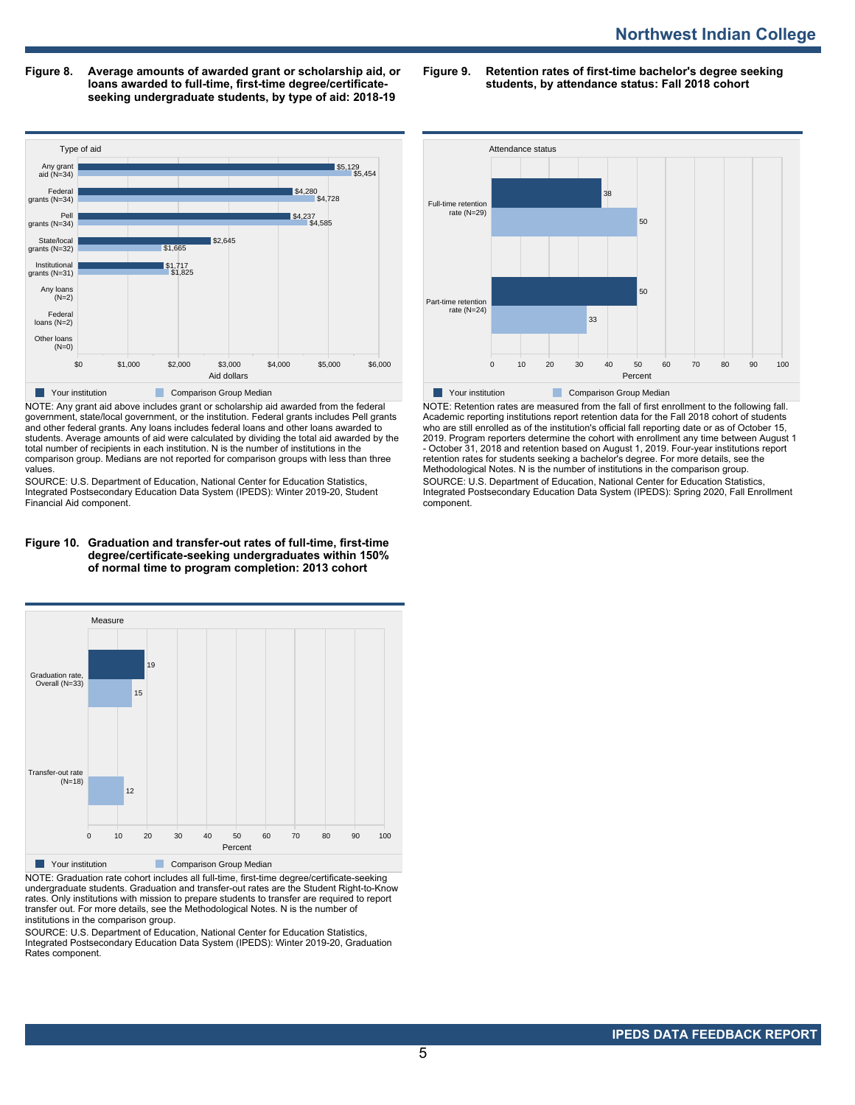**Figure 8. Average amounts of awarded grant or scholarship aid, or loans awarded to full-time, first-time degree/certificateseeking undergraduate students, by type of aid: 2018-19**

**Figure 9. Retention rates of first-time bachelor's degree seeking students, by attendance status: Fall 2018 cohort**



NOTE: Any grant aid above includes grant or scholarship aid awarded from the federal government, state/local government, or the institution. Federal grants includes Pell grants and other federal grants. Any loans includes federal loans and other loans awarded to students. Average amounts of aid were calculated by dividing the total aid awarded by the total number of recipients in each institution. N is the number of institutions in the comparison group. Medians are not reported for comparison groups with less than three values.

SOURCE: U.S. Department of Education, National Center for Education Statistics, Integrated Postsecondary Education Data System (IPEDS): Winter 2019-20, Student Financial Aid component.

#### **Figure 10. Graduation and transfer-out rates of full-time, first-time degree/certificate-seeking undergraduates within 150% of normal time to program completion: 2013 cohort**



NOTE: Graduation rate cohort includes all full-time, first-time degree/certificate-seeking undergraduate students. Graduation and transfer-out rates are the Student Right-to-Know rates. Only institutions with mission to prepare students to transfer are required to report transfer out. For more details, see the Methodological Notes. N is the number of institutions in the comparison group.

SOURCE: U.S. Department of Education, National Center for Education Statistics, Integrated Postsecondary Education Data System (IPEDS): Winter 2019-20, Graduation Rates component.



NOTE: Retention rates are measured from the fall of first enrollment to the following fall. Academic reporting institutions report retention data for the Fall 2018 cohort of students who are still enrolled as of the institution's official fall reporting date or as of October 15, 2019. Program reporters determine the cohort with enrollment any time between August 1 - October 31, 2018 and retention based on August 1, 2019. Four-year institutions report retention rates for students seeking a bachelor's degree. For more details, see the Methodological Notes. N is the number of institutions in the comparison group. SOURCE: U.S. Department of Education, National Center for Education Statistics, Integrated Postsecondary Education Data System (IPEDS): Spring 2020, Fall Enrollment component.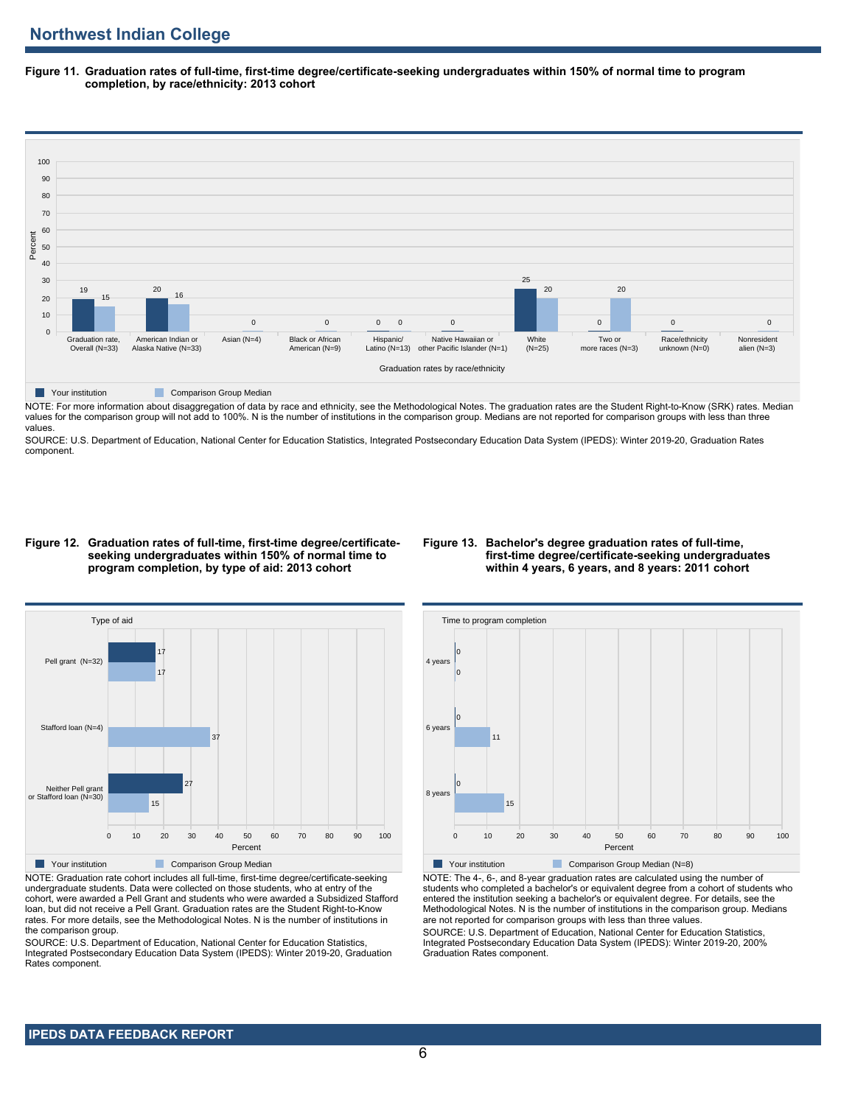**Figure 11. Graduation rates of full-time, first-time degree/certificate-seeking undergraduates within 150% of normal time to program completion, by race/ethnicity: 2013 cohort**



NOTE: For more information about disaggregation of data by race and ethnicity, see the Methodological Notes. The graduation rates are the Student Right-to-Know (SRK) rates. Median values for the comparison group will not add to 100%. N is the number of institutions in the comparison group. Medians are not reported for comparison groups with less than three values.

SOURCE: U.S. Department of Education, National Center for Education Statistics, Integrated Postsecondary Education Data System (IPEDS): Winter 2019-20, Graduation Rates component.

#### **Figure 12. Graduation rates of full-time, first-time degree/certificateseeking undergraduates within 150% of normal time to program completion, by type of aid: 2013 cohort**

## **Figure 13. Bachelor's degree graduation rates of full-time, first-time degree/certificate-seeking undergraduates within 4 years, 6 years, and 8 years: 2011 cohort**



NOTE: Graduation rate cohort includes all full-time, first-time degree/certificate-seeking undergraduate students. Data were collected on those students, who at entry of the cohort, were awarded a Pell Grant and students who were awarded a Subsidized Stafford loan, but did not receive a Pell Grant. Graduation rates are the Student Right-to-Know rates. For more details, see the Methodological Notes. N is the number of institutions in the comparison group.

SOURCE: U.S. Department of Education, National Center for Education Statistics, Integrated Postsecondary Education Data System (IPEDS): Winter 2019-20, Graduation Rates component.



**Your institution** Comparison Group Median (N=8)

NOTE: The 4-, 6-, and 8-year graduation rates are calculated using the number of students who completed a bachelor's or equivalent degree from a cohort of students who entered the institution seeking a bachelor's or equivalent degree. For details, see the Methodological Notes. N is the number of institutions in the comparison group. Medians are not reported for comparison groups with less than three values. SOURCE: U.S. Department of Education, National Center for Education Statistics,

Integrated Postsecondary Education Data System (IPEDS): Winter 2019-20, 200% Graduation Rates component.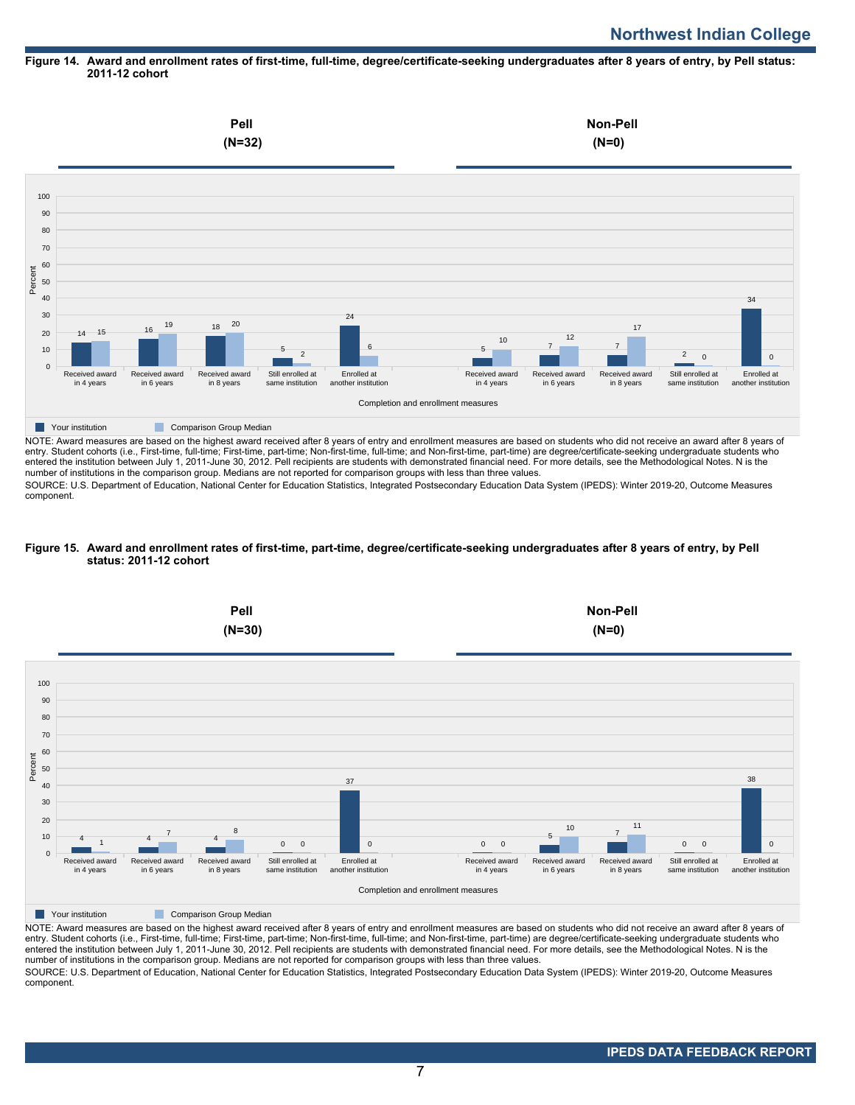## **Figure 14. Award and enrollment rates of first-time, full-time, degree/certificate-seeking undergraduates after 8 years of entry, by Pell status: 2011-12 cohort**



NOTE: Award measures are based on the highest award received after 8 years of entry and enrollment measures are based on students who did not receive an award after 8 years of entry. Student cohorts (i.e., First-time, full-time; First-time, part-time; Non-first-time, full-time; and Non-first-time, part-time) are degree/certificate-seeking undergraduate students who entered the institution between July 1, 2011-June 30, 2012. Pell recipients are students with demonstrated financial need. For more details, see the Methodological Notes. N is the number of institutions in the comparison group. Medians are not reported for comparison groups with less than three values.

SOURCE: U.S. Department of Education, National Center for Education Statistics, Integrated Postsecondary Education Data System (IPEDS): Winter 2019-20, Outcome Measures component.

## **Figure 15. Award and enrollment rates of first-time, part-time, degree/certificate-seeking undergraduates after 8 years of entry, by Pell status: 2011-12 cohort**



NOTE: Award measures are based on the highest award received after 8 years of entry and enrollment measures are based on students who did not receive an award after 8 years of entry. Student cohorts (i.e., First-time, full-time; First-time, part-time; Non-first-time, full-time; and Non-first-time, part-time) are degree/certificate-seeking undergraduate students who entered the institution between July 1, 2011-June 30, 2012. Pell recipients are students with demonstrated financial need. For more details, see the Methodological Notes. N is the number of institutions in the comparison group. Medians are not reported for comparison groups with less than three values. SOURCE: U.S. Department of Education, National Center for Education Statistics, Integrated Postsecondary Education Data System (IPEDS): Winter 2019-20, Outcome Measures component.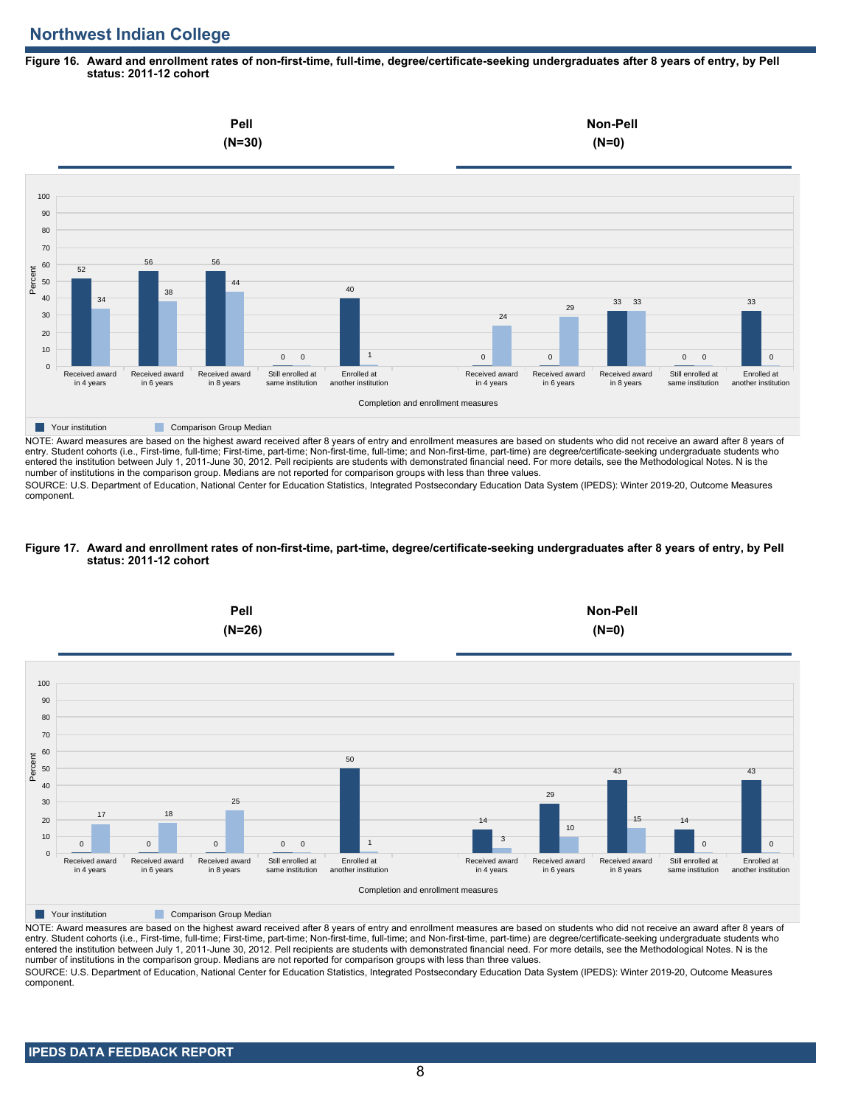# **Northwest Indian College**

## **Figure 16. Award and enrollment rates of non-first-time, full-time, degree/certificate-seeking undergraduates after 8 years of entry, by Pell status: 2011-12 cohort**



NOTE: Award measures are based on the highest award received after 8 years of entry and enrollment measures are based on students who did not receive an award after 8 years of entry. Student cohorts (i.e., First-time, full-time; First-time, part-time; Non-first-time, full-time; and Non-first-time, part-time) are degree/certificate-seeking undergraduate students who entered the institution between July 1, 2011-June 30, 2012. Pell recipients are students with demonstrated financial need. For more details, see the Methodological Notes. N is the number of institutions in the comparison group. Medians are not reported for comparison groups with less than three values.

SOURCE: U.S. Department of Education, National Center for Education Statistics, Integrated Postsecondary Education Data System (IPEDS): Winter 2019-20, Outcome Measures component.

## **Figure 17. Award and enrollment rates of non-first-time, part-time, degree/certificate-seeking undergraduates after 8 years of entry, by Pell status: 2011-12 cohort**



NOTE: Award measures are based on the highest award received after 8 years of entry and enrollment measures are based on students who did not receive an award after 8 years of entry. Student cohorts (i.e., First-time, full-time; First-time, part-time; Non-first-time, full-time; and Non-first-time, part-time) are degree/certificate-seeking undergraduate students who entered the institution between July 1, 2011-June 30, 2012. Pell recipients are students with demonstrated financial need. For more details, see the Methodological Notes. N is the number of institutions in the comparison group. Medians are not reported for comparison groups with less than three values. SOURCE: U.S. Department of Education, National Center for Education Statistics, Integrated Postsecondary Education Data System (IPEDS): Winter 2019-20, Outcome Measures component.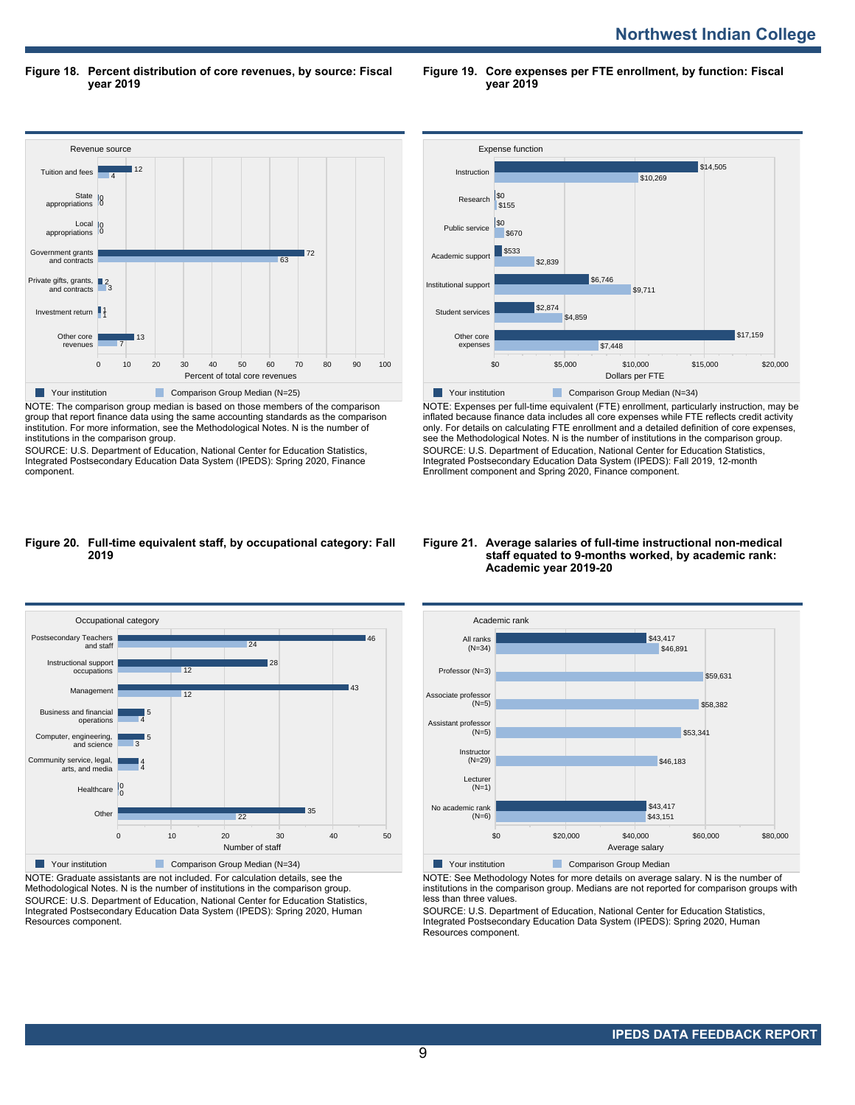**Figure 18. Percent distribution of core revenues, by source: Fiscal year 2019**

**Figure 19. Core expenses per FTE enrollment, by function: Fiscal year 2019**



NOTE: The comparison group median is based on those members of the comparison group that report finance data using the same accounting standards as the comparison institution. For more information, see the Methodological Notes. N is the number of institutions in the comparison group.

SOURCE: U.S. Department of Education, National Center for Education Statistics, Integrated Postsecondary Education Data System (IPEDS): Spring 2020, Finance component.



NOTE: Expenses per full-time equivalent (FTE) enrollment, particularly instruction, may be inflated because finance data includes all core expenses while FTE reflects credit activity only. For details on calculating FTE enrollment and a detailed definition of core expenses, see the Methodological Notes. N is the number of institutions in the comparison group. SOURCE: U.S. Department of Education, National Center for Education Statistics, Integrated Postsecondary Education Data System (IPEDS): Fall 2019, 12-month Enrollment component and Spring 2020, Finance component.

#### **Figure 20. Full-time equivalent staff, by occupational category: Fall 2019**



NOTE: Graduate assistants are not included. For calculation details, see the Methodological Notes. N is the number of institutions in the comparison group. SOURCE: U.S. Department of Education, National Center for Education Statistics, Integrated Postsecondary Education Data System (IPEDS): Spring 2020, Human Resources component.

#### **Figure 21. Average salaries of full-time instructional non-medical staff equated to 9-months worked, by academic rank: Academic year 2019-20**



NOTE: See Methodology Notes for more details on average salary. N is the number of institutions in the comparison group. Medians are not reported for comparison groups with less than three values.

SOURCE: U.S. Department of Education, National Center for Education Statistics, Integrated Postsecondary Education Data System (IPEDS): Spring 2020, Human Resources component.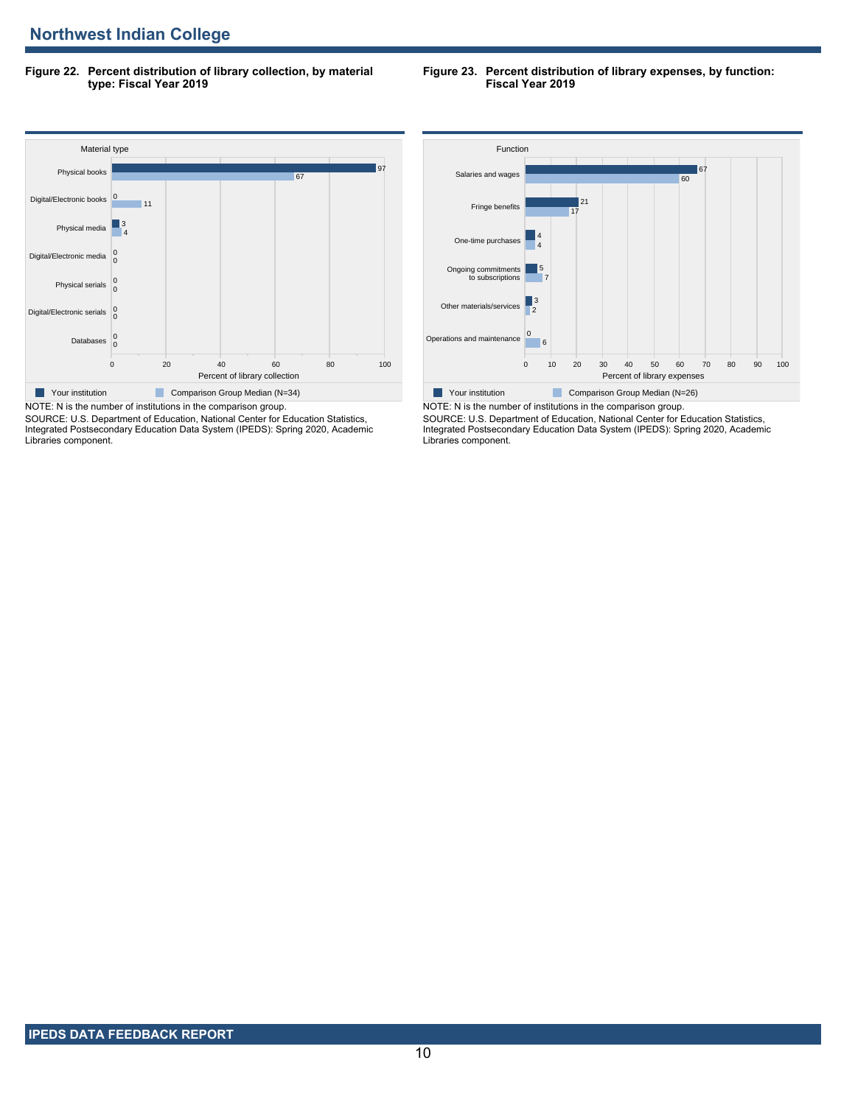**Figure 22. Percent distribution of library collection, by material type: Fiscal Year 2019**

#### **Figure 23. Percent distribution of library expenses, by function: Fiscal Year 2019**



SOURCE: U.S. Department of Education, National Center for Education Statistics, Integrated Postsecondary Education Data System (IPEDS): Spring 2020, Academic Libraries component.



NOTE: N is the number of institutions in the comparison group. SOURCE: U.S. Department of Education, National Center for Education Statistics, Integrated Postsecondary Education Data System (IPEDS): Spring 2020, Academic Libraries component.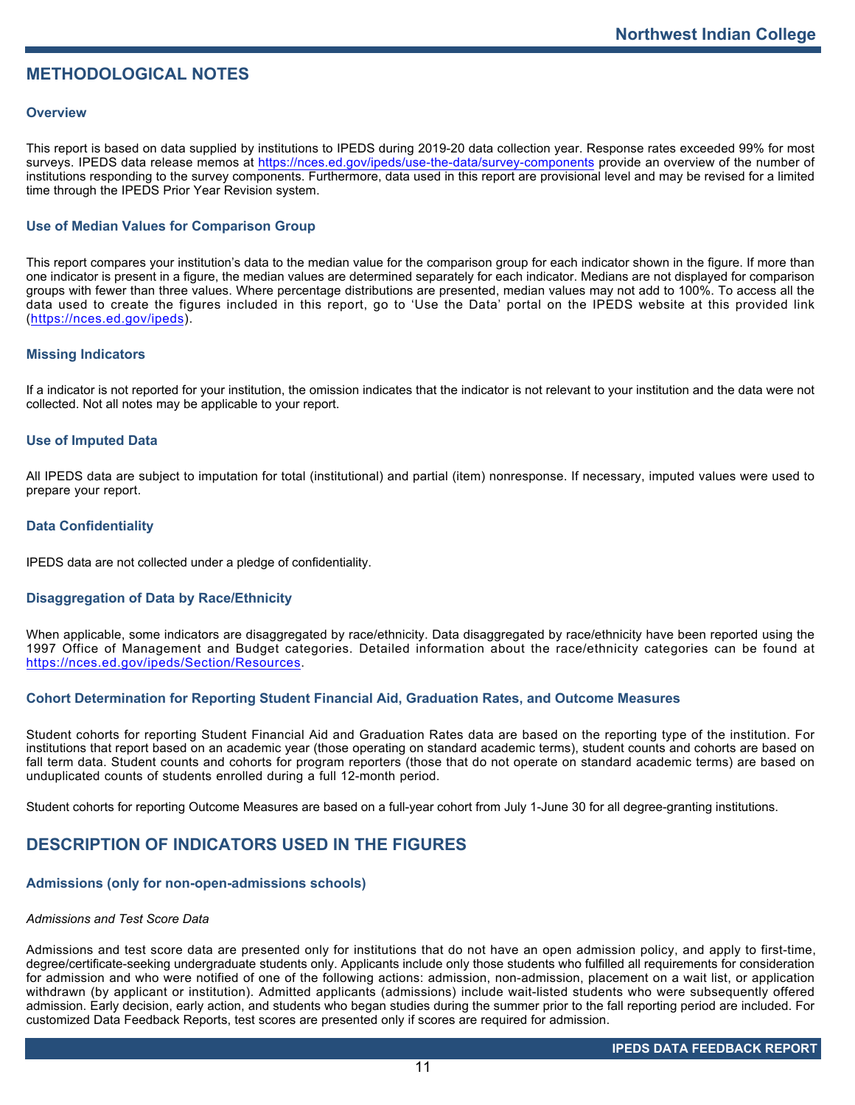# **METHODOLOGICAL NOTES**

## **Overview**

This report is based on data supplied by institutions to IPEDS during 2019-20 data collection year. Response rates exceeded 99% for most surveys. IPEDS data release memos at <https://nces.ed.gov/ipeds/use-the-data/survey-components> provide an overview of the number of institutions responding to the survey components. Furthermore, data used in this report are provisional level and may be revised for a limited time through the IPEDS Prior Year Revision system.

## **Use of Median Values for Comparison Group**

This report compares your institution's data to the median value for the comparison group for each indicator shown in the figure. If more than one indicator is present in a figure, the median values are determined separately for each indicator. Medians are not displayed for comparison groups with fewer than three values. Where percentage distributions are presented, median values may not add to 100%. To access all the data used to create the figures included in this report, go to 'Use the Data' portal on the IPEDS website at this provided link (<https://nces.ed.gov/ipeds>).

## **Missing Indicators**

If a indicator is not reported for your institution, the omission indicates that the indicator is not relevant to your institution and the data were not collected. Not all notes may be applicable to your report.

## **Use of Imputed Data**

All IPEDS data are subject to imputation for total (institutional) and partial (item) nonresponse. If necessary, imputed values were used to prepare your report.

## **Data Confidentiality**

IPEDS data are not collected under a pledge of confidentiality.

## **Disaggregation of Data by Race/Ethnicity**

When applicable, some indicators are disaggregated by race/ethnicity. Data disaggregated by race/ethnicity have been reported using the 1997 Office of Management and Budget categories. Detailed information about the race/ethnicity categories can be found at <https://nces.ed.gov/ipeds/Section/Resources>.

## **Cohort Determination for Reporting Student Financial Aid, Graduation Rates, and Outcome Measures**

Student cohorts for reporting Student Financial Aid and Graduation Rates data are based on the reporting type of the institution. For institutions that report based on an academic year (those operating on standard academic terms), student counts and cohorts are based on fall term data. Student counts and cohorts for program reporters (those that do not operate on standard academic terms) are based on unduplicated counts of students enrolled during a full 12-month period.

Student cohorts for reporting Outcome Measures are based on a full-year cohort from July 1-June 30 for all degree-granting institutions.

# **DESCRIPTION OF INDICATORS USED IN THE FIGURES**

## **Admissions (only for non-open-admissions schools)**

## *Admissions and Test Score Data*

Admissions and test score data are presented only for institutions that do not have an open admission policy, and apply to first-time, degree/certificate-seeking undergraduate students only. Applicants include only those students who fulfilled all requirements for consideration for admission and who were notified of one of the following actions: admission, non-admission, placement on a wait list, or application withdrawn (by applicant or institution). Admitted applicants (admissions) include wait-listed students who were subsequently offered admission. Early decision, early action, and students who began studies during the summer prior to the fall reporting period are included. For customized Data Feedback Reports, test scores are presented only if scores are required for admission.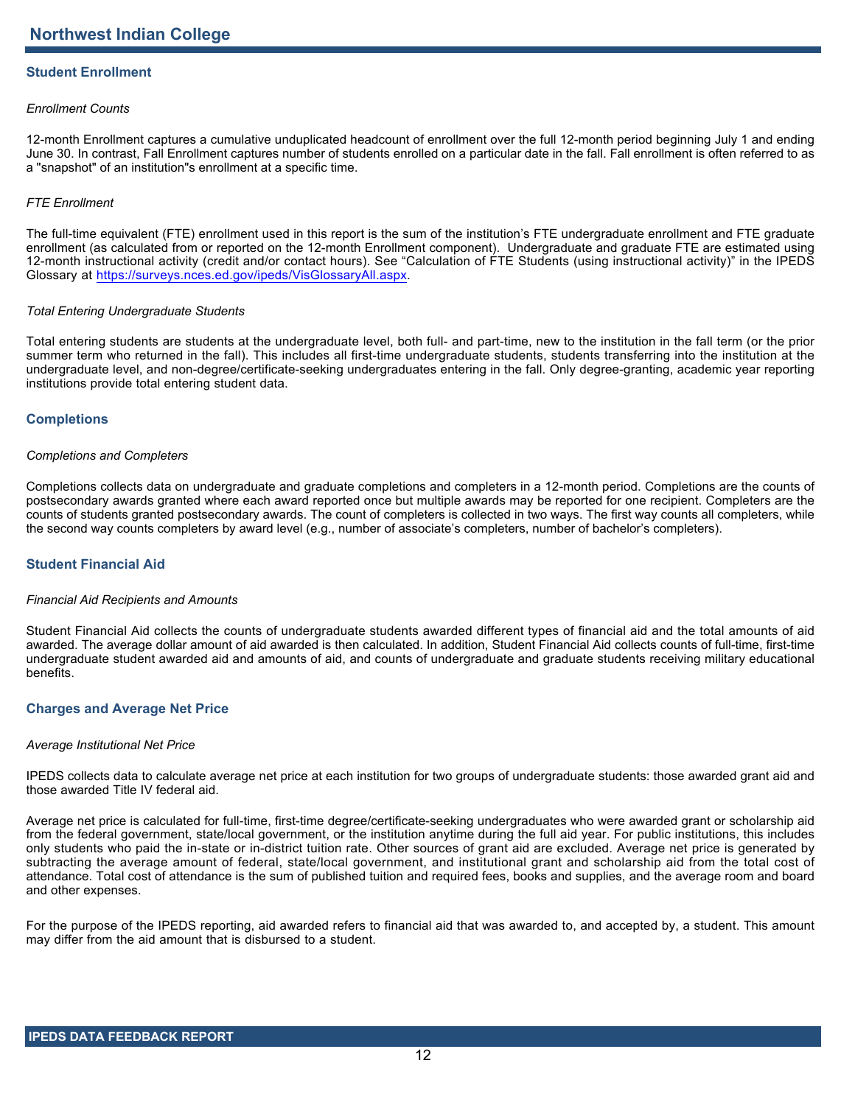# **Student Enrollment**

## *Enrollment Counts*

12-month Enrollment captures a cumulative unduplicated headcount of enrollment over the full 12-month period beginning July 1 and ending June 30. In contrast, Fall Enrollment captures number of students enrolled on a particular date in the fall. Fall enrollment is often referred to as a "snapshot" of an institution"s enrollment at a specific time.

## *FTE Enrollment*

The full-time equivalent (FTE) enrollment used in this report is the sum of the institution's FTE undergraduate enrollment and FTE graduate enrollment (as calculated from or reported on the 12-month Enrollment component). Undergraduate and graduate FTE are estimated using 12-month instructional activity (credit and/or contact hours). See "Calculation of FTE Students (using instructional activity)" in the IPEDS Glossary at <https://surveys.nces.ed.gov/ipeds/VisGlossaryAll.aspx>.

## *Total Entering Undergraduate Students*

Total entering students are students at the undergraduate level, both full- and part-time, new to the institution in the fall term (or the prior summer term who returned in the fall). This includes all first-time undergraduate students, students transferring into the institution at the undergraduate level, and non-degree/certificate-seeking undergraduates entering in the fall. Only degree-granting, academic year reporting institutions provide total entering student data.

## **Completions**

## *Completions and Completers*

Completions collects data on undergraduate and graduate completions and completers in a 12-month period. Completions are the counts of postsecondary awards granted where each award reported once but multiple awards may be reported for one recipient. Completers are the counts of students granted postsecondary awards. The count of completers is collected in two ways. The first way counts all completers, while the second way counts completers by award level (e.g., number of associate's completers, number of bachelor's completers).

## **Student Financial Aid**

## *Financial Aid Recipients and Amounts*

Student Financial Aid collects the counts of undergraduate students awarded different types of financial aid and the total amounts of aid awarded. The average dollar amount of aid awarded is then calculated. In addition, Student Financial Aid collects counts of full-time, first-time undergraduate student awarded aid and amounts of aid, and counts of undergraduate and graduate students receiving military educational benefits.

## **Charges and Average Net Price**

## *Average Institutional Net Price*

IPEDS collects data to calculate average net price at each institution for two groups of undergraduate students: those awarded grant aid and those awarded Title IV federal aid.

Average net price is calculated for full-time, first-time degree/certificate-seeking undergraduates who were awarded grant or scholarship aid from the federal government, state/local government, or the institution anytime during the full aid year. For public institutions, this includes only students who paid the in-state or in-district tuition rate. Other sources of grant aid are excluded. Average net price is generated by subtracting the average amount of federal, state/local government, and institutional grant and scholarship aid from the total cost of attendance. Total cost of attendance is the sum of published tuition and required fees, books and supplies, and the average room and board and other expenses.

For the purpose of the IPEDS reporting, aid awarded refers to financial aid that was awarded to, and accepted by, a student. This amount may differ from the aid amount that is disbursed to a student.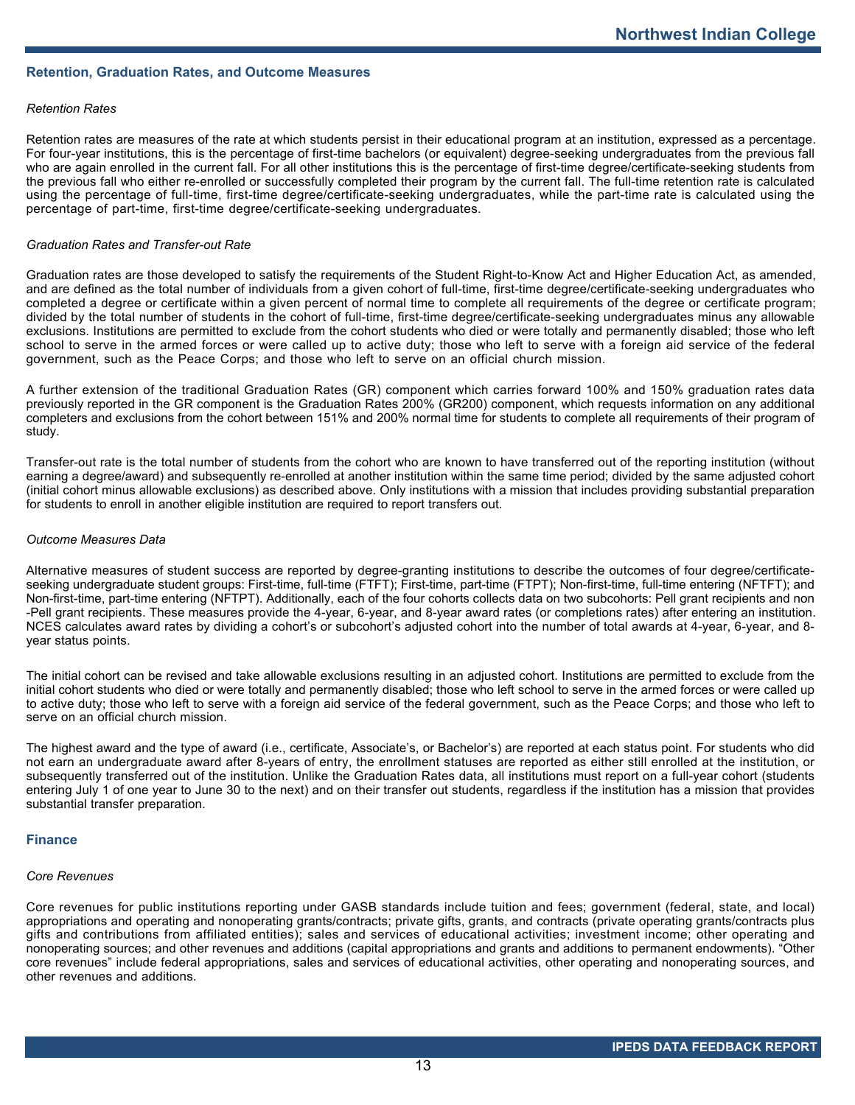## **Retention, Graduation Rates, and Outcome Measures**

## *Retention Rates*

Retention rates are measures of the rate at which students persist in their educational program at an institution, expressed as a percentage. For four-year institutions, this is the percentage of first-time bachelors (or equivalent) degree-seeking undergraduates from the previous fall who are again enrolled in the current fall. For all other institutions this is the percentage of first-time degree/certificate-seeking students from the previous fall who either re-enrolled or successfully completed their program by the current fall. The full-time retention rate is calculated using the percentage of full-time, first-time degree/certificate-seeking undergraduates, while the part-time rate is calculated using the percentage of part-time, first-time degree/certificate-seeking undergraduates.

#### *Graduation Rates and Transfer-out Rate*

Graduation rates are those developed to satisfy the requirements of the Student Right-to-Know Act and Higher Education Act, as amended, and are defined as the total number of individuals from a given cohort of full-time, first-time degree/certificate-seeking undergraduates who completed a degree or certificate within a given percent of normal time to complete all requirements of the degree or certificate program; divided by the total number of students in the cohort of full-time, first-time degree/certificate-seeking undergraduates minus any allowable exclusions. Institutions are permitted to exclude from the cohort students who died or were totally and permanently disabled; those who left school to serve in the armed forces or were called up to active duty; those who left to serve with a foreign aid service of the federal government, such as the Peace Corps; and those who left to serve on an official church mission.

A further extension of the traditional Graduation Rates (GR) component which carries forward 100% and 150% graduation rates data previously reported in the GR component is the Graduation Rates 200% (GR200) component, which requests information on any additional completers and exclusions from the cohort between 151% and 200% normal time for students to complete all requirements of their program of study.

Transfer-out rate is the total number of students from the cohort who are known to have transferred out of the reporting institution (without earning a degree/award) and subsequently re-enrolled at another institution within the same time period; divided by the same adjusted cohort (initial cohort minus allowable exclusions) as described above. Only institutions with a mission that includes providing substantial preparation for students to enroll in another eligible institution are required to report transfers out.

#### *Outcome Measures Data*

Alternative measures of student success are reported by degree-granting institutions to describe the outcomes of four degree/certificateseeking undergraduate student groups: First-time, full-time (FTFT); First-time, part-time (FTPT); Non-first-time, full-time entering (NFTFT); and Non-first-time, part-time entering (NFTPT). Additionally, each of the four cohorts collects data on two subcohorts: Pell grant recipients and non -Pell grant recipients. These measures provide the 4-year, 6-year, and 8-year award rates (or completions rates) after entering an institution. NCES calculates award rates by dividing a cohort's or subcohort's adjusted cohort into the number of total awards at 4-year, 6-year, and 8 year status points.

The initial cohort can be revised and take allowable exclusions resulting in an adjusted cohort. Institutions are permitted to exclude from the initial cohort students who died or were totally and permanently disabled; those who left school to serve in the armed forces or were called up to active duty; those who left to serve with a foreign aid service of the federal government, such as the Peace Corps; and those who left to serve on an official church mission.

The highest award and the type of award (i.e., certificate, Associate's, or Bachelor's) are reported at each status point. For students who did not earn an undergraduate award after 8-years of entry, the enrollment statuses are reported as either still enrolled at the institution, or subsequently transferred out of the institution. Unlike the Graduation Rates data, all institutions must report on a full-year cohort (students entering July 1 of one year to June 30 to the next) and on their transfer out students, regardless if the institution has a mission that provides substantial transfer preparation.

#### **Finance**

## *Core Revenues*

Core revenues for public institutions reporting under GASB standards include tuition and fees; government (federal, state, and local) appropriations and operating and nonoperating grants/contracts; private gifts, grants, and contracts (private operating grants/contracts plus gifts and contributions from affiliated entities); sales and services of educational activities; investment income; other operating and nonoperating sources; and other revenues and additions (capital appropriations and grants and additions to permanent endowments). "Other core revenues" include federal appropriations, sales and services of educational activities, other operating and nonoperating sources, and other revenues and additions.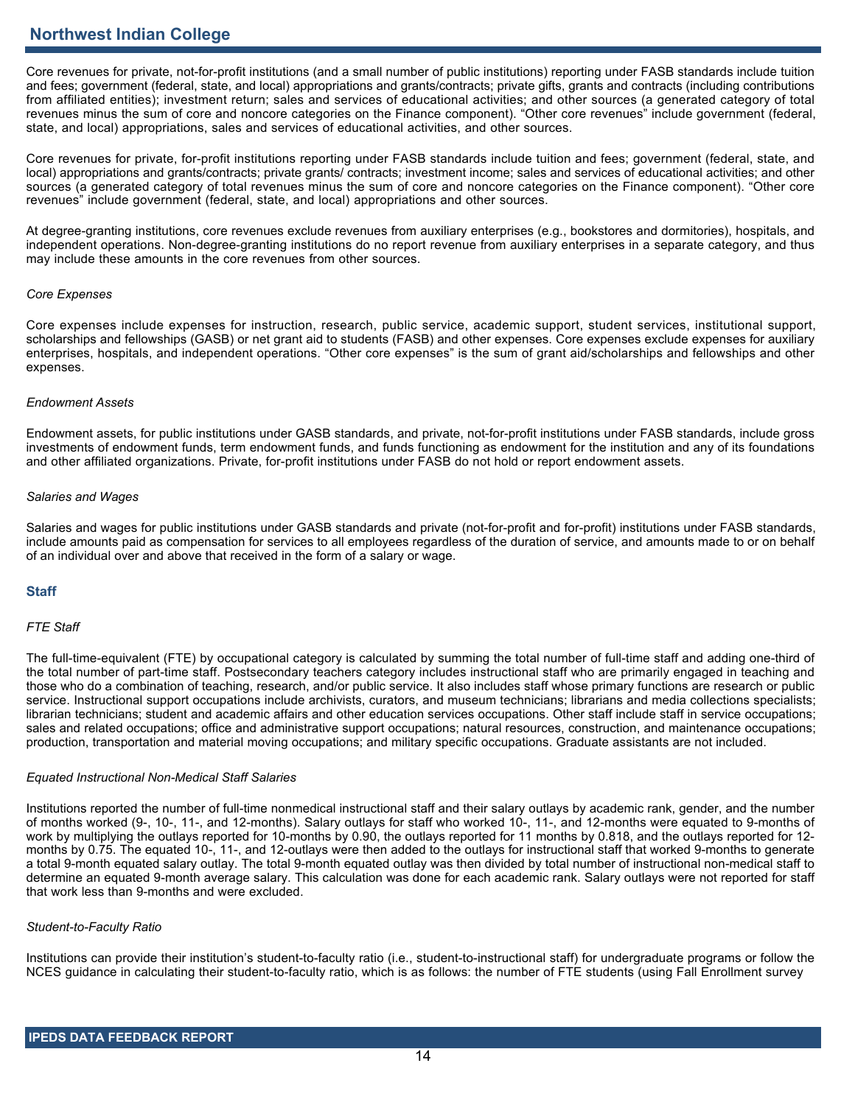# **Northwest Indian College**

Core revenues for private, not-for-profit institutions (and a small number of public institutions) reporting under FASB standards include tuition and fees; government (federal, state, and local) appropriations and grants/contracts; private gifts, grants and contracts (including contributions from affiliated entities); investment return; sales and services of educational activities; and other sources (a generated category of total revenues minus the sum of core and noncore categories on the Finance component). "Other core revenues" include government (federal, state, and local) appropriations, sales and services of educational activities, and other sources.

Core revenues for private, for-profit institutions reporting under FASB standards include tuition and fees; government (federal, state, and local) appropriations and grants/contracts; private grants/ contracts; investment income; sales and services of educational activities; and other sources (a generated category of total revenues minus the sum of core and noncore categories on the Finance component). "Other core revenues" include government (federal, state, and local) appropriations and other sources.

At degree-granting institutions, core revenues exclude revenues from auxiliary enterprises (e.g., bookstores and dormitories), hospitals, and independent operations. Non-degree-granting institutions do no report revenue from auxiliary enterprises in a separate category, and thus may include these amounts in the core revenues from other sources.

## *Core Expenses*

Core expenses include expenses for instruction, research, public service, academic support, student services, institutional support, scholarships and fellowships (GASB) or net grant aid to students (FASB) and other expenses. Core expenses exclude expenses for auxiliary enterprises, hospitals, and independent operations. "Other core expenses" is the sum of grant aid/scholarships and fellowships and other expenses.

## *Endowment Assets*

Endowment assets, for public institutions under GASB standards, and private, not-for-profit institutions under FASB standards, include gross investments of endowment funds, term endowment funds, and funds functioning as endowment for the institution and any of its foundations and other affiliated organizations. Private, for-profit institutions under FASB do not hold or report endowment assets.

## *Salaries and Wages*

Salaries and wages for public institutions under GASB standards and private (not-for-profit and for-profit) institutions under FASB standards, include amounts paid as compensation for services to all employees regardless of the duration of service, and amounts made to or on behalf of an individual over and above that received in the form of a salary or wage.

## **Staff**

## *FTE Staff*

The full-time-equivalent (FTE) by occupational category is calculated by summing the total number of full-time staff and adding one-third of the total number of part-time staff. Postsecondary teachers category includes instructional staff who are primarily engaged in teaching and those who do a combination of teaching, research, and/or public service. It also includes staff whose primary functions are research or public service. Instructional support occupations include archivists, curators, and museum technicians; librarians and media collections specialists; librarian technicians; student and academic affairs and other education services occupations. Other staff include staff in service occupations; sales and related occupations; office and administrative support occupations; natural resources, construction, and maintenance occupations; production, transportation and material moving occupations; and military specific occupations. Graduate assistants are not included.

## *Equated Instructional Non-Medical Staff Salaries*

Institutions reported the number of full-time nonmedical instructional staff and their salary outlays by academic rank, gender, and the number of months worked (9-, 10-, 11-, and 12-months). Salary outlays for staff who worked 10-, 11-, and 12-months were equated to 9-months of work by multiplying the outlays reported for 10-months by 0.90, the outlays reported for 11 months by 0.818, and the outlays reported for 12 months by 0.75. The equated 10-, 11-, and 12-outlays were then added to the outlays for instructional staff that worked 9-months to generate a total 9-month equated salary outlay. The total 9-month equated outlay was then divided by total number of instructional non-medical staff to determine an equated 9-month average salary. This calculation was done for each academic rank. Salary outlays were not reported for staff that work less than 9-months and were excluded.

## *Student-to-Faculty Ratio*

Institutions can provide their institution's student-to-faculty ratio (i.e., student-to-instructional staff) for undergraduate programs or follow the NCES guidance in calculating their student-to-faculty ratio, which is as follows: the number of FTE students (using Fall Enrollment survey